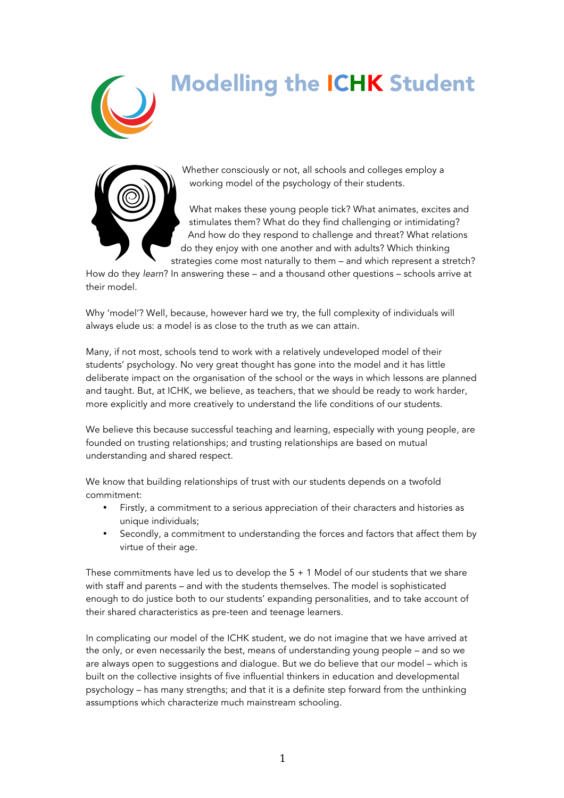# Modelling the ICHK Student





Whether consciously or not, all schools and colleges employ a working model of the psychology of their students.

What makes these young people tick? What animates, excites and stimulates them? What do they find challenging or intimidating? And how do they respond to challenge and threat? What relations do they enjoy with one another and with adults? Which thinking strategies come most naturally to them – and which represent a stretch?

How do they *learn*? In answering these – and a thousand other questions – schools arrive at their model.

Why 'model'? Well, because, however hard we try, the full complexity of individuals will always elude us: a model is as close to the truth as we can attain.

Many, if not most, schools tend to work with a relatively undeveloped model of their students' psychology. No very great thought has gone into the model and it has little deliberate impact on the organisation of the school or the ways in which lessons are planned and taught. But, at ICHK, we believe, as teachers, that we should be ready to work harder, more explicitly and more creatively to understand the life conditions of our students.

We believe this because successful teaching and learning, especially with young people, are founded on trusting relationships; and trusting relationships are based on mutual understanding and shared respect.

We know that building relationships of trust with our students depends on a twofold commitment:

- Firstly, a commitment to a serious appreciation of their characters and histories as unique individuals;
- Secondly, a commitment to understanding the forces and factors that affect them by virtue of their age.

These commitments have led us to develop the  $5 + 1$  Model of our students that we share with staff and parents – and with the students themselves. The model is sophisticated enough to do justice both to our students' expanding personalities, and to take account of their shared characteristics as pre-teen and teenage learners.

In complicating our model of the ICHK student, we do not imagine that we have arrived at the only, or even necessarily the best, means of understanding young people – and so we are always open to suggestions and dialogue. But we do believe that our model – which is built on the collective insights of five influential thinkers in education and developmental psychology – has many strengths; and that it is a definite step forward from the unthinking assumptions which characterize much mainstream schooling.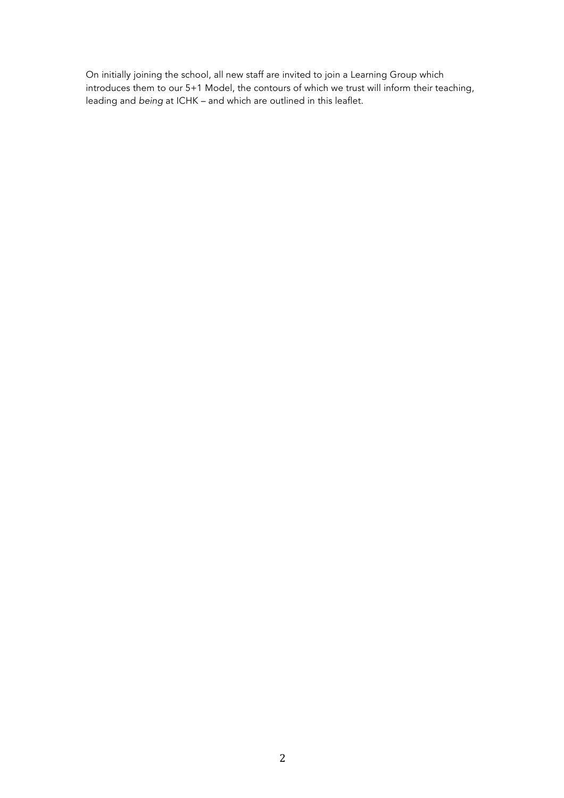On initially joining the school, all new staff are invited to join a Learning Group which introduces them to our 5+1 Model, the contours of which we trust will inform their teaching, leading and *being* at ICHK – and which are outlined in this leaflet.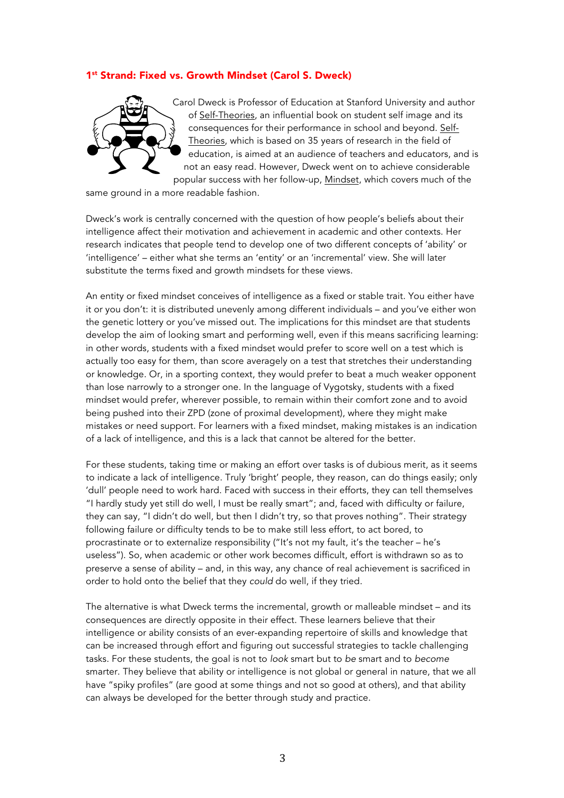### 1<sup>st</sup> Strand: Fixed vs. Growth Mindset (Carol S. Dweck)



Carol Dweck is Professor of Education at Stanford University and author of Self-Theories, an influential book on student self image and its consequences for their performance in school and beyond. Self-Theories, which is based on 35 years of research in the field of education, is aimed at an audience of teachers and educators, and is not an easy read. However, Dweck went on to achieve considerable popular success with her follow-up, Mindset, which covers much of the

same ground in a more readable fashion.

Dweck's work is centrally concerned with the question of how people's beliefs about their intelligence affect their motivation and achievement in academic and other contexts. Her research indicates that people tend to develop one of two different concepts of 'ability' or 'intelligence' – either what she terms an 'entity' or an 'incremental' view. She will later substitute the terms fixed and growth mindsets for these views.

An entity or fixed mindset conceives of intelligence as a fixed or stable trait. You either have it or you don't: it is distributed unevenly among different individuals – and you've either won the genetic lottery or you've missed out. The implications for this mindset are that students develop the aim of looking smart and performing well, even if this means sacrificing learning: in other words, students with a fixed mindset would prefer to score well on a test which is actually too easy for them, than score averagely on a test that stretches their understanding or knowledge. Or, in a sporting context, they would prefer to beat a much weaker opponent than lose narrowly to a stronger one. In the language of Vygotsky, students with a fixed mindset would prefer, wherever possible, to remain within their comfort zone and to avoid being pushed into their ZPD (zone of proximal development), where they might make mistakes or need support. For learners with a fixed mindset, making mistakes is an indication of a lack of intelligence, and this is a lack that cannot be altered for the better.

For these students, taking time or making an effort over tasks is of dubious merit, as it seems to indicate a lack of intelligence. Truly 'bright' people, they reason, can do things easily; only 'dull' people need to work hard. Faced with success in their efforts, they can tell themselves "I hardly study yet still do well, I must be really smart"; and, faced with difficulty or failure, they can say, "I didn't do well, but then I didn't try, so that proves nothing". Their strategy following failure or difficulty tends to be to make still less effort, to act bored, to procrastinate or to externalize responsibility ("It's not my fault, it's the teacher – he's useless"). So, when academic or other work becomes difficult, effort is withdrawn so as to preserve a sense of ability – and, in this way, any chance of real achievement is sacrificed in order to hold onto the belief that they *could* do well, if they tried.

The alternative is what Dweck terms the incremental, growth or malleable mindset – and its consequences are directly opposite in their effect. These learners believe that their intelligence or ability consists of an ever-expanding repertoire of skills and knowledge that can be increased through effort and figuring out successful strategies to tackle challenging tasks. For these students, the goal is not to *look* smart but to *be* smart and to *become* smarter. They believe that ability or intelligence is not global or general in nature, that we all have "spiky profiles" (are good at some things and not so good at others), and that ability can always be developed for the better through study and practice.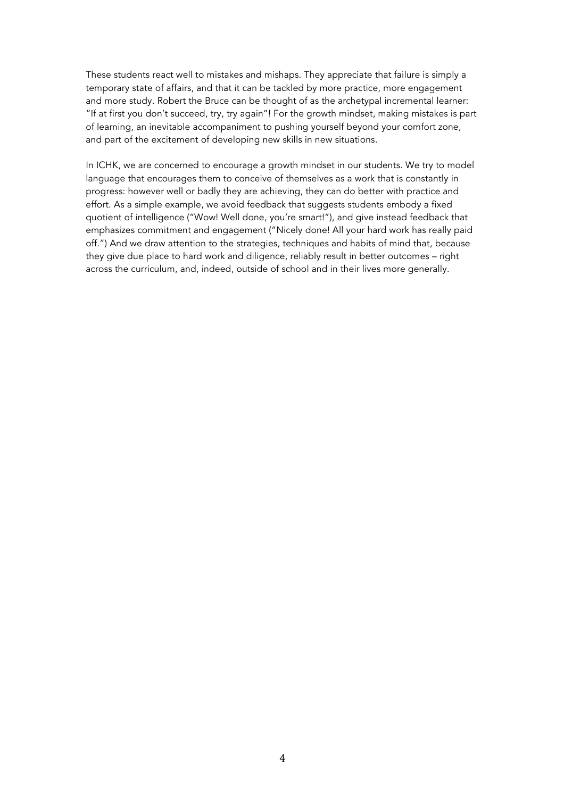These students react well to mistakes and mishaps. They appreciate that failure is simply a temporary state of affairs, and that it can be tackled by more practice, more engagement and more study. Robert the Bruce can be thought of as the archetypal incremental learner: "If at first you don't succeed, try, try again"! For the growth mindset, making mistakes is part of learning, an inevitable accompaniment to pushing yourself beyond your comfort zone, and part of the excitement of developing new skills in new situations.

In ICHK, we are concerned to encourage a growth mindset in our students. We try to model language that encourages them to conceive of themselves as a work that is constantly in progress: however well or badly they are achieving, they can do better with practice and effort. As a simple example, we avoid feedback that suggests students embody a fixed quotient of intelligence ("Wow! Well done, you're smart!"), and give instead feedback that emphasizes commitment and engagement ("Nicely done! All your hard work has really paid off.") And we draw attention to the strategies, techniques and habits of mind that, because they give due place to hard work and diligence, reliably result in better outcomes – right across the curriculum, and, indeed, outside of school and in their lives more generally.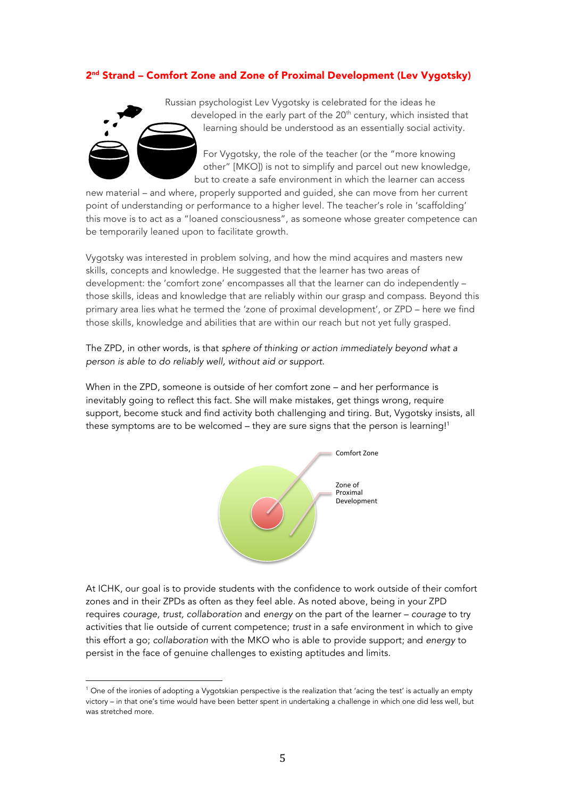## 2nd Strand – Comfort Zone and Zone of Proximal Development (Lev Vygotsky)



other" [MKO]) is not to simplify and parcel out new knowledge, but to create a safe environment in which the learner can access

new material – and where, properly supported and guided, she can move from her current point of understanding or performance to a higher level. The teacher's role in 'scaffolding' this move is to act as a "loaned consciousness", as someone whose greater competence can be temporarily leaned upon to facilitate growth.

Vygotsky was interested in problem solving, and how the mind acquires and masters new skills, concepts and knowledge. He suggested that the learner has two areas of development: the 'comfort zone' encompasses all that the learner can do independently – those skills, ideas and knowledge that are reliably within our grasp and compass. Beyond this primary area lies what he termed the 'zone of proximal development', or ZPD – here we find those skills, knowledge and abilities that are within our reach but not yet fully grasped.

The ZPD, in other words, is that *sphere of thinking or action immediately beyond what a person is able to do reliably well, without aid or support*.

When in the ZPD, someone is outside of her comfort zone – and her performance is inevitably going to reflect this fact. She will make mistakes, get things wrong, require support, become stuck and find activity both challenging and tiring. But, Vygotsky insists, all these symptoms are to be welcomed - they are sure signs that the person is learning!<sup>1</sup>



At ICHK, our goal is to provide students with the confidence to work outside of their comfort zones and in their ZPDs as often as they feel able. As noted above, being in your ZPD requires *courage, trust, collaboration* and *energy* on the part of the learner – *courage* to try activities that lie outside of current competence; *trust* in a safe environment in which to give this effort a go; *collaboration* with the MKO who is able to provide support; and *energy* to persist in the face of genuine challenges to existing aptitudes and limits.

 

<sup>&</sup>lt;sup>1</sup> One of the ironies of adopting a Vygotskian perspective is the realization that 'acing the test' is actually an empty victory – in that one's time would have been better spent in undertaking a challenge in which one did less well, but was stretched more.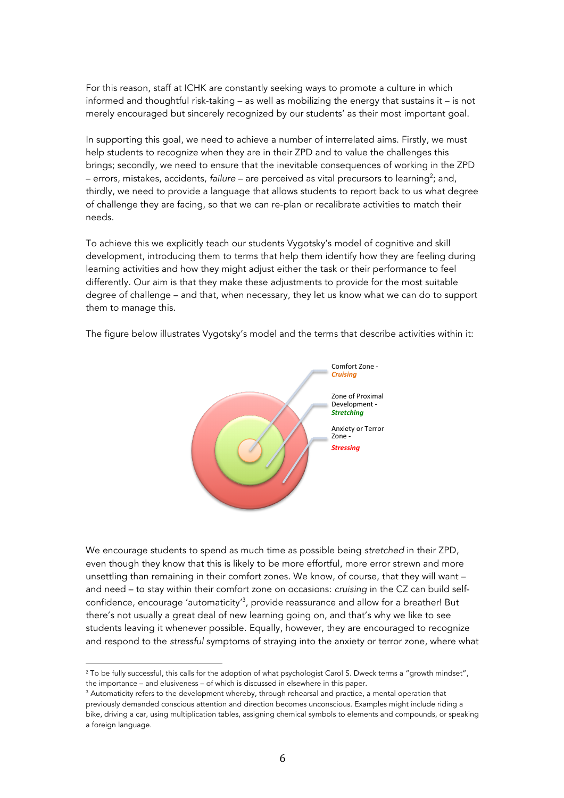For this reason, staff at ICHK are constantly seeking ways to promote a culture in which informed and thoughtful risk-taking – as well as mobilizing the energy that sustains it – is not merely encouraged but sincerely recognized by our students' as their most important goal.

In supporting this goal, we need to achieve a number of interrelated aims. Firstly, we must help students to recognize when they are in their ZPD and to value the challenges this brings; secondly, we need to ensure that the inevitable consequences of working in the ZPD – errors, mistakes, accidents, failure – are perceived as vital precursors to learning<sup>2</sup>; and, thirdly, we need to provide a language that allows students to report back to us what degree of challenge they are facing, so that we can re-plan or recalibrate activities to match their needs.

To achieve this we explicitly teach our students Vygotsky's model of cognitive and skill development, introducing them to terms that help them identify how they are feeling during learning activities and how they might adjust either the task or their performance to feel differently. Our aim is that they make these adjustments to provide for the most suitable degree of challenge – and that, when necessary, they let us know what we can do to support them to manage this.

> Comfort Zone -*Cruising*  Zone of Proximal Development -**Stretching** Anxiety or Terror Zone -**Stressing**

The figure below illustrates Vygotsky's model and the terms that describe activities within it:

We encourage students to spend as much time as possible being *stretched* in their ZPD, even though they know that this is likely to be more effortful, more error strewn and more unsettling than remaining in their comfort zones. We know, of course, that they will want – and need – to stay within their comfort zone on occasions: *cruising* in the CZ can build selfconfidence, encourage 'automaticity'3 , provide reassurance and allow for a breather! But there's not usually a great deal of new learning going on, and that's why we like to see students leaving it whenever possible. Equally, however, they are encouraged to recognize and respond to the *stressful* symptoms of straying into the anxiety or terror zone, where what

 

<sup>&</sup>lt;sup>2</sup> To be fully successful, this calls for the adoption of what psychologist Carol S. Dweck terms a "growth mindset", the importance – and elusiveness – of which is discussed in elsewhere in this paper.

<sup>&</sup>lt;sup>3</sup> Automaticity refers to the development whereby, through rehearsal and practice, a mental operation that previously demanded conscious attention and direction becomes unconscious. Examples might include riding a bike, driving a car, using multiplication tables, assigning chemical symbols to elements and compounds, or speaking a foreign language.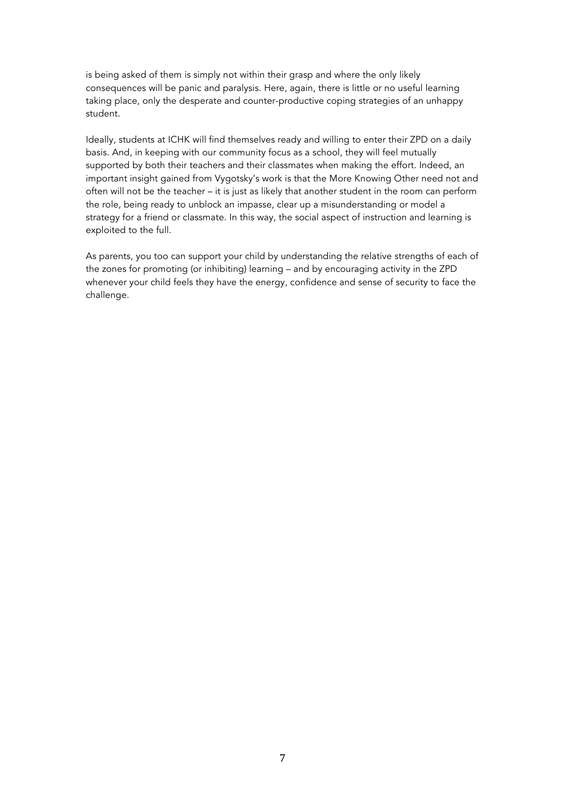is being asked of them is simply not within their grasp and where the only likely consequences will be panic and paralysis. Here, again, there is little or no useful learning taking place, only the desperate and counter-productive coping strategies of an unhappy student.

Ideally, students at ICHK will find themselves ready and willing to enter their ZPD on a daily basis. And, in keeping with our community focus as a school, they will feel mutually supported by both their teachers and their classmates when making the effort. Indeed, an important insight gained from Vygotsky's work is that the More Knowing Other need not and often will not be the teacher – it is just as likely that another student in the room can perform the role, being ready to unblock an impasse, clear up a misunderstanding or model a strategy for a friend or classmate. In this way, the social aspect of instruction and learning is exploited to the full.

As parents, you too can support your child by understanding the relative strengths of each of the zones for promoting (or inhibiting) learning – and by encouraging activity in the ZPD whenever your child feels they have the energy, confidence and sense of security to face the challenge.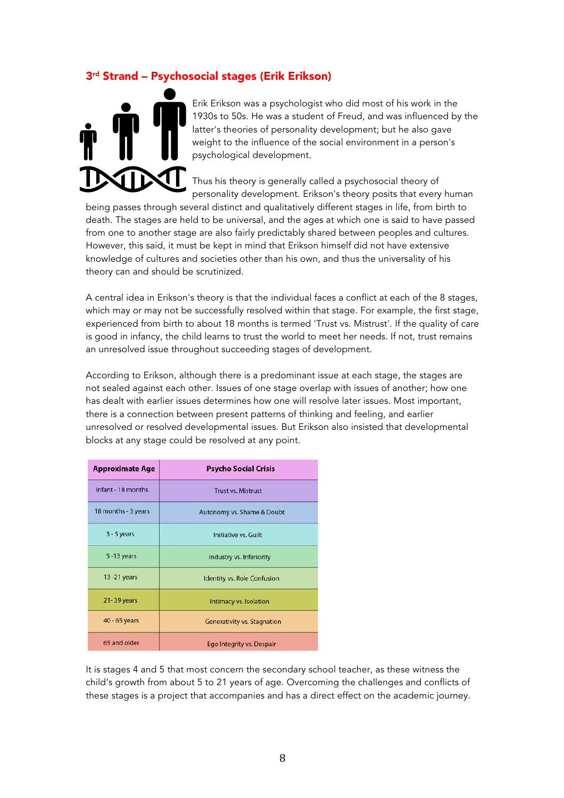# 3rd Strand – Psychosocial stages (Erik Erikson)



Erik Erikson was a psychologist who did most of his work in the 1930s to 50s. He was a student of Freud, and was influenced by the latter's theories of personality development; but he also gave weight to the influence of the social environment in a person's psychological development.

Thus his theory is generally called a psychosocial theory of personality development. Erikson's theory posits that every human

being passes through several distinct and qualitatively different stages in life, from birth to death. The stages are held to be universal, and the ages at which one is said to have passed from one to another stage are also fairly predictably shared between peoples and cultures. However, this said, it must be kept in mind that Erikson himself did not have extensive knowledge of cultures and societies other than his own, and thus the universality of his theory can and should be scrutinized.

A central idea in Erikson's theory is that the individual faces a conflict at each of the 8 stages, which may or may not be successfully resolved within that stage. For example, the first stage, experienced from birth to about 18 months is termed 'Trust vs. Mistrust'. If the quality of care is good in infancy, the child learns to trust the world to meet her needs. If not, trust remains an unresolved issue throughout succeeding stages of development.

According to Erikson, although there is a predominant issue at each stage, the stages are not sealed against each other. Issues of one stage overlap with issues of another; how one has dealt with earlier issues determines how one will resolve later issues. Most important, there is a connection between present patterns of thinking and feeling, and earlier unresolved or resolved developmental issues. But Erikson also insisted that developmental blocks at any stage could be resolved at any point.

| <b>Approximate Age</b> | <b>Psycho Social Crisis</b>        |
|------------------------|------------------------------------|
| Infant - 18 months     | <b>Trust vs. Mistrust</b>          |
| 18 months - 3 years    | Autonomy vs. Shame & Doubt         |
| $3 - 5$ years          | Initiative vs. Guilt               |
| $5 - 13$ years         | Industry vs. Inferiority           |
| $13 - 21$ years        | <b>Identity vs. Role Confusion</b> |
| 21-39 years            | Intimacy vs. Isolation             |
| 40 - 65 years          | <b>Generativity vs. Stagnation</b> |
| 65 and older           | Ego Integrity vs. Despair          |

It is stages 4 and 5 that most concern the secondary school teacher, as these witness the child's growth from about 5 to 21 years of age. Overcoming the challenges and conflicts of these stages is a project that accompanies and has a direct effect on the academic journey.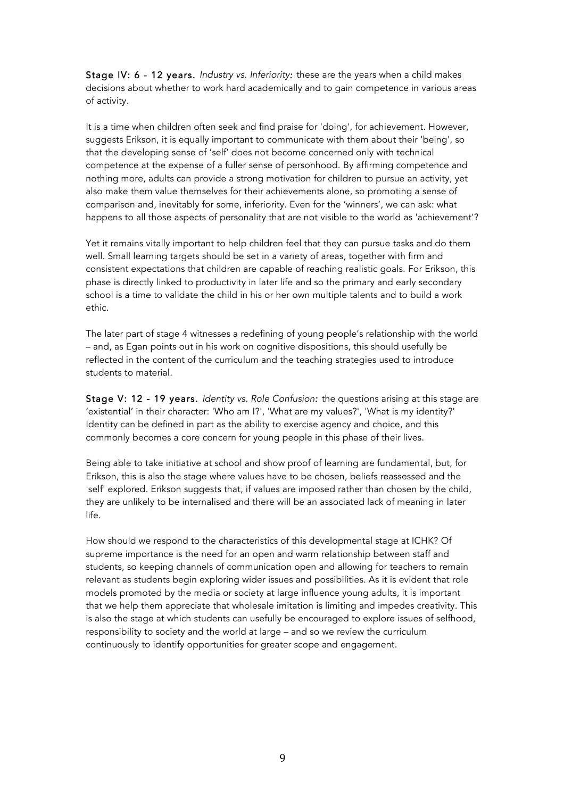Stage IV: 6 - 12 years. *Industry vs. Inferiority:* these are the years when a child makes decisions about whether to work hard academically and to gain competence in various areas of activity.

It is a time when children often seek and find praise for 'doing', for achievement. However, suggests Erikson, it is equally important to communicate with them about their 'being', so that the developing sense of 'self' does not become concerned only with technical competence at the expense of a fuller sense of personhood. By affirming competence and nothing more, adults can provide a strong motivation for children to pursue an activity, yet also make them value themselves for their achievements alone, so promoting a sense of comparison and, inevitably for some, inferiority. Even for the 'winners', we can ask: what happens to all those aspects of personality that are not visible to the world as 'achievement'?

Yet it remains vitally important to help children feel that they can pursue tasks and do them well. Small learning targets should be set in a variety of areas, together with firm and consistent expectations that children are capable of reaching realistic goals. For Erikson, this phase is directly linked to productivity in later life and so the primary and early secondary school is a time to validate the child in his or her own multiple talents and to build a work ethic.

The later part of stage 4 witnesses a redefining of young people's relationship with the world – and, as Egan points out in his work on cognitive dispositions, this should usefully be reflected in the content of the curriculum and the teaching strategies used to introduce students to material.

Stage V: 12 - 19 years. *Identity vs. Role Confusion:* the questions arising at this stage are 'existential' in their character: 'Who am I?', 'What are my values?', 'What is my identity?' Identity can be defined in part as the ability to exercise agency and choice, and this commonly becomes a core concern for young people in this phase of their lives.

Being able to take initiative at school and show proof of learning are fundamental, but, for Erikson, this is also the stage where values have to be chosen, beliefs reassessed and the 'self' explored. Erikson suggests that, if values are imposed rather than chosen by the child, they are unlikely to be internalised and there will be an associated lack of meaning in later life.

How should we respond to the characteristics of this developmental stage at ICHK? Of supreme importance is the need for an open and warm relationship between staff and students, so keeping channels of communication open and allowing for teachers to remain relevant as students begin exploring wider issues and possibilities. As it is evident that role models promoted by the media or society at large influence young adults, it is important that we help them appreciate that wholesale imitation is limiting and impedes creativity. This is also the stage at which students can usefully be encouraged to explore issues of selfhood, responsibility to society and the world at large – and so we review the curriculum continuously to identify opportunities for greater scope and engagement.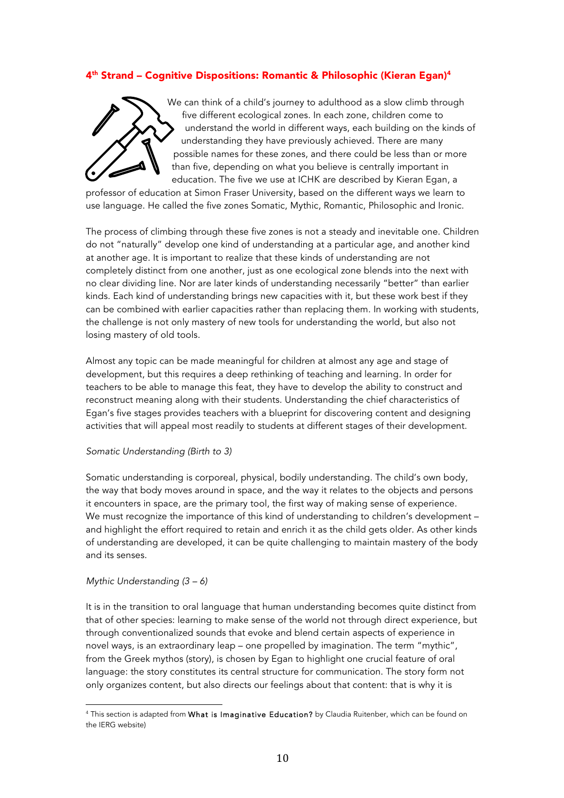# 4th Strand – Cognitive Dispositions: Romantic & Philosophic (Kieran Egan)4



We can think of a child's journey to adulthood as a slow climb through five different ecological zones. In each zone, children come to understand the world in different ways, each building on the kinds of understanding they have previously achieved. There are many possible names for these zones, and there could be less than or more than five, depending on what you believe is centrally important in education. The five we use at ICHK are described by Kieran Egan, a

professor of education at Simon Fraser University, based on the different ways we learn to use language. He called the five zones Somatic, Mythic, Romantic, Philosophic and Ironic.

The process of climbing through these five zones is not a steady and inevitable one. Children do not "naturally" develop one kind of understanding at a particular age, and another kind at another age. It is important to realize that these kinds of understanding are not completely distinct from one another, just as one ecological zone blends into the next with no clear dividing line. Nor are later kinds of understanding necessarily "better" than earlier kinds. Each kind of understanding brings new capacities with it, but these work best if they can be combined with earlier capacities rather than replacing them. In working with students, the challenge is not only mastery of new tools for understanding the world, but also not losing mastery of old tools.

Almost any topic can be made meaningful for children at almost any age and stage of development, but this requires a deep rethinking of teaching and learning. In order for teachers to be able to manage this feat, they have to develop the ability to construct and reconstruct meaning along with their students. Understanding the chief characteristics of Egan's five stages provides teachers with a blueprint for discovering content and designing activities that will appeal most readily to students at different stages of their development.

#### *Somatic Understanding (Birth to 3)*

Somatic understanding is corporeal, physical, bodily understanding. The child's own body, the way that body moves around in space, and the way it relates to the objects and persons it encounters in space, are the primary tool, the first way of making sense of experience. We must recognize the importance of this kind of understanding to children's development – and highlight the effort required to retain and enrich it as the child gets older. As other kinds of understanding are developed, it can be quite challenging to maintain mastery of the body and its senses.

#### *Mythic Understanding (3 – 6)*

It is in the transition to oral language that human understanding becomes quite distinct from that of other species: learning to make sense of the world not through direct experience, but through conventionalized sounds that evoke and blend certain aspects of experience in novel ways, is an extraordinary leap – one propelled by imagination. The term "mythic", from the Greek mythos (story), is chosen by Egan to highlight one crucial feature of oral language: the story constitutes its central structure for communication. The story form not only organizes content, but also directs our feelings about that content: that is why it is

 <sup>4</sup> This section is adapted from What is Imaginative Education? by Claudia Ruitenber, which can be found on the IERG website)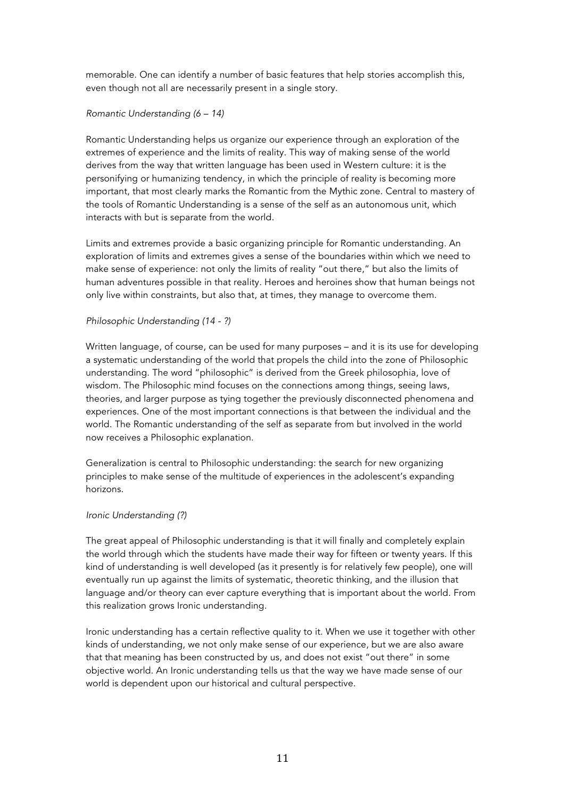memorable. One can identify a number of basic features that help stories accomplish this, even though not all are necessarily present in a single story.

### *Romantic Understanding (6 – 14)*

Romantic Understanding helps us organize our experience through an exploration of the extremes of experience and the limits of reality. This way of making sense of the world derives from the way that written language has been used in Western culture: it is the personifying or humanizing tendency, in which the principle of reality is becoming more important, that most clearly marks the Romantic from the Mythic zone. Central to mastery of the tools of Romantic Understanding is a sense of the self as an autonomous unit, which interacts with but is separate from the world.

Limits and extremes provide a basic organizing principle for Romantic understanding. An exploration of limits and extremes gives a sense of the boundaries within which we need to make sense of experience: not only the limits of reality "out there," but also the limits of human adventures possible in that reality. Heroes and heroines show that human beings not only live within constraints, but also that, at times, they manage to overcome them.

#### *Philosophic Understanding (14 - ?)*

Written language, of course, can be used for many purposes – and it is its use for developing a systematic understanding of the world that propels the child into the zone of Philosophic understanding. The word "philosophic" is derived from the Greek philosophia, love of wisdom. The Philosophic mind focuses on the connections among things, seeing laws, theories, and larger purpose as tying together the previously disconnected phenomena and experiences. One of the most important connections is that between the individual and the world. The Romantic understanding of the self as separate from but involved in the world now receives a Philosophic explanation.

Generalization is central to Philosophic understanding: the search for new organizing principles to make sense of the multitude of experiences in the adolescent's expanding horizons.

#### *Ironic Understanding (?)*

The great appeal of Philosophic understanding is that it will finally and completely explain the world through which the students have made their way for fifteen or twenty years. If this kind of understanding is well developed (as it presently is for relatively few people), one will eventually run up against the limits of systematic, theoretic thinking, and the illusion that language and/or theory can ever capture everything that is important about the world. From this realization grows Ironic understanding.

Ironic understanding has a certain reflective quality to it. When we use it together with other kinds of understanding, we not only make sense of our experience, but we are also aware that that meaning has been constructed by us, and does not exist "out there" in some objective world. An Ironic understanding tells us that the way we have made sense of our world is dependent upon our historical and cultural perspective.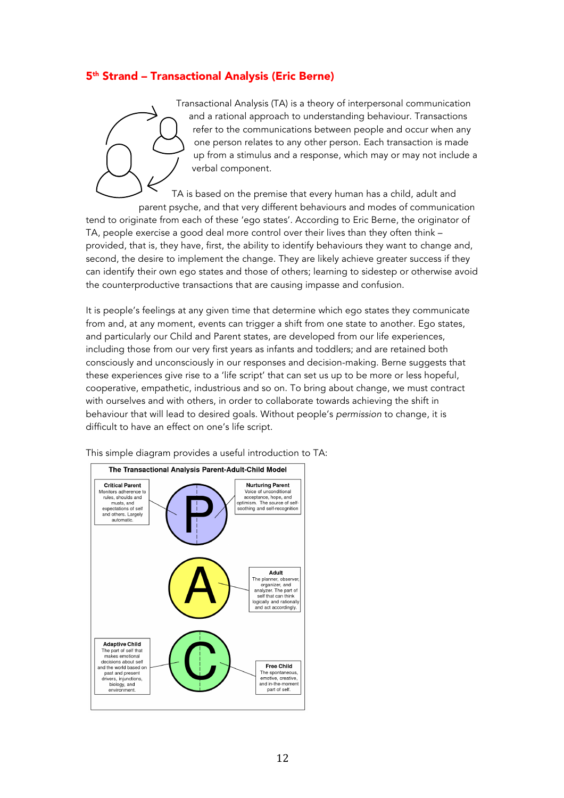# 5th Strand – Transactional Analysis (Eric Berne)



Transactional Analysis (TA) is a theory of interpersonal communication and a rational approach to understanding behaviour. Transactions refer to the communications between people and occur when any one person relates to any other person. Each transaction is made up from a stimulus and a response, which may or may not include a verbal component.

TA is based on the premise that every human has a child, adult and parent psyche, and that very different behaviours and modes of communication tend to originate from each of these 'ego states'. According to Eric Berne, the originator of TA, people exercise a good deal more control over their lives than they often think – provided, that is, they have, first, the ability to identify behaviours they want to change and, second, the desire to implement the change. They are likely achieve greater success if they can identify their own ego states and those of others; learning to sidestep or otherwise avoid the counterproductive transactions that are causing impasse and confusion.

It is people's feelings at any given time that determine which ego states they communicate from and, at any moment, events can trigger a shift from one state to another. Ego states, and particularly our Child and Parent states, are developed from our life experiences, including those from our very first years as infants and toddlers; and are retained both consciously and unconsciously in our responses and decision-making. Berne suggests that these experiences give rise to a 'life script' that can set us up to be more or less hopeful, cooperative, empathetic, industrious and so on. To bring about change, we must contract with ourselves and with others, in order to collaborate towards achieving the shift in behaviour that will lead to desired goals. Without people's *permission* to change, it is difficult to have an effect on one's life script.



This simple diagram provides a useful introduction to TA: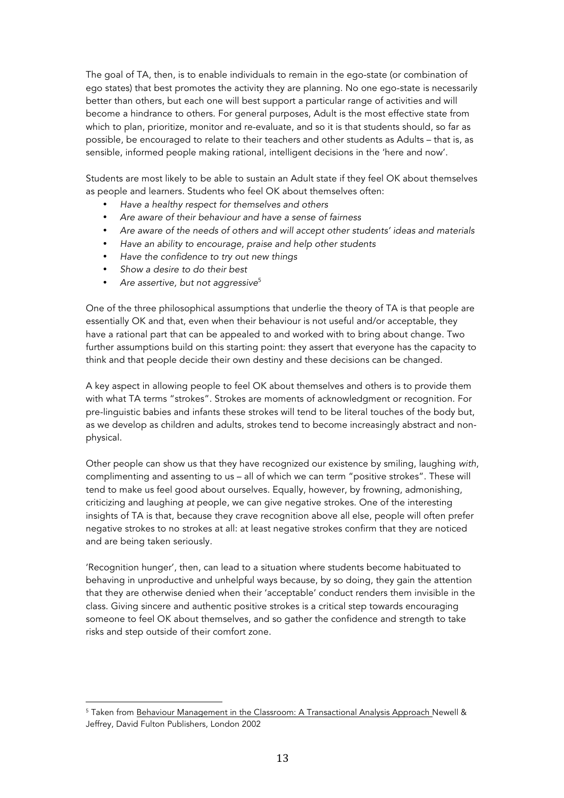The goal of TA, then, is to enable individuals to remain in the ego-state (or combination of ego states) that best promotes the activity they are planning. No one ego-state is necessarily better than others, but each one will best support a particular range of activities and will become a hindrance to others. For general purposes, Adult is the most effective state from which to plan, prioritize, monitor and re-evaluate, and so it is that students should, so far as possible, be encouraged to relate to their teachers and other students as Adults – that is, as sensible, informed people making rational, intelligent decisions in the 'here and now'.

Students are most likely to be able to sustain an Adult state if they feel OK about themselves as people and learners. Students who feel OK about themselves often:

- *Have a healthy respect for themselves and others*
- *Are aware of their behaviour and have a sense of fairness*
- *Are aware of the needs of others and will accept other students' ideas and materials*
- *Have an ability to encourage, praise and help other students*
- *Have the confidence to try out new things*
- *Show a desire to do their best*

 

• *Are assertive, but not aggressive*<sup>5</sup>

One of the three philosophical assumptions that underlie the theory of TA is that people are essentially OK and that, even when their behaviour is not useful and/or acceptable, they have a rational part that can be appealed to and worked with to bring about change. Two further assumptions build on this starting point: they assert that everyone has the capacity to think and that people decide their own destiny and these decisions can be changed.

A key aspect in allowing people to feel OK about themselves and others is to provide them with what TA terms "strokes". Strokes are moments of acknowledgment or recognition. For pre-linguistic babies and infants these strokes will tend to be literal touches of the body but, as we develop as children and adults, strokes tend to become increasingly abstract and nonphysical.

Other people can show us that they have recognized our existence by smiling, laughing *with*, complimenting and assenting to us – all of which we can term "positive strokes". These will tend to make us feel good about ourselves. Equally, however, by frowning, admonishing, criticizing and laughing *at* people, we can give negative strokes. One of the interesting insights of TA is that, because they crave recognition above all else, people will often prefer negative strokes to no strokes at all: at least negative strokes confirm that they are noticed and are being taken seriously.

'Recognition hunger', then, can lead to a situation where students become habituated to behaving in unproductive and unhelpful ways because, by so doing, they gain the attention that they are otherwise denied when their 'acceptable' conduct renders them invisible in the class. Giving sincere and authentic positive strokes is a critical step towards encouraging someone to feel OK about themselves, and so gather the confidence and strength to take risks and step outside of their comfort zone.

<sup>5</sup> Taken from Behaviour Management in the Classroom: A Transactional Analysis Approach Newell & Jeffrey, David Fulton Publishers, London 2002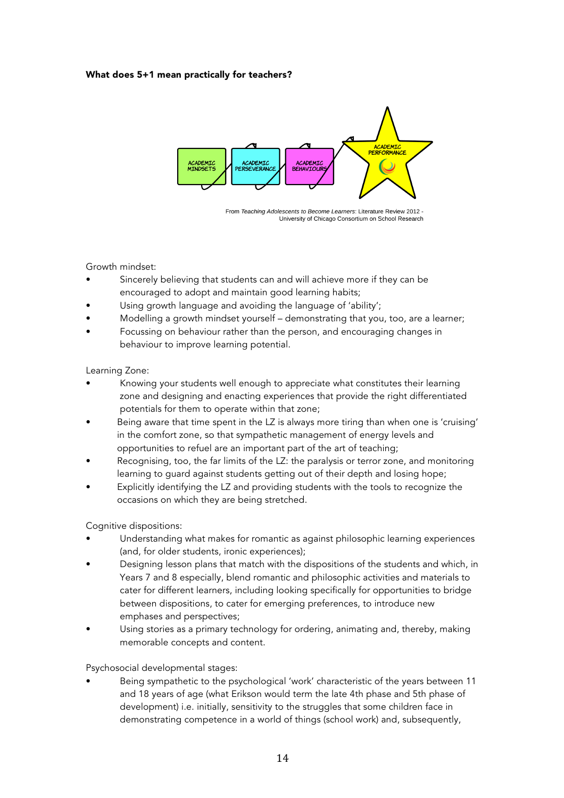#### What does 5+1 mean practically for teachers?



From Teaching Adolescents to Become Learners: Literature Review 2012 -University of Chicago Consortium on School Research

### Growth mindset:

- Sincerely believing that students can and will achieve more if they can be encouraged to adopt and maintain good learning habits;
- Using growth language and avoiding the language of 'ability';
- Modelling a growth mindset yourself demonstrating that you, too, are a learner;
- Focussing on behaviour rather than the person, and encouraging changes in behaviour to improve learning potential.

#### Learning Zone:

- Knowing your students well enough to appreciate what constitutes their learning zone and designing and enacting experiences that provide the right differentiated potentials for them to operate within that zone;
- Being aware that time spent in the LZ is always more tiring than when one is 'cruising' in the comfort zone, so that sympathetic management of energy levels and opportunities to refuel are an important part of the art of teaching;
- Recognising, too, the far limits of the LZ: the paralysis or terror zone, and monitoring learning to guard against students getting out of their depth and losing hope;
- Explicitly identifying the LZ and providing students with the tools to recognize the occasions on which they are being stretched.

## Cognitive dispositions:

- Understanding what makes for romantic as against philosophic learning experiences (and, for older students, ironic experiences);
- Designing lesson plans that match with the dispositions of the students and which, in Years 7 and 8 especially, blend romantic and philosophic activities and materials to cater for different learners, including looking specifically for opportunities to bridge between dispositions, to cater for emerging preferences, to introduce new emphases and perspectives;
- Using stories as a primary technology for ordering, animating and, thereby, making memorable concepts and content.

#### Psychosocial developmental stages:

• Being sympathetic to the psychological 'work' characteristic of the years between 11 and 18 years of age (what Erikson would term the late 4th phase and 5th phase of development) i.e. initially, sensitivity to the struggles that some children face in demonstrating competence in a world of things (school work) and, subsequently,